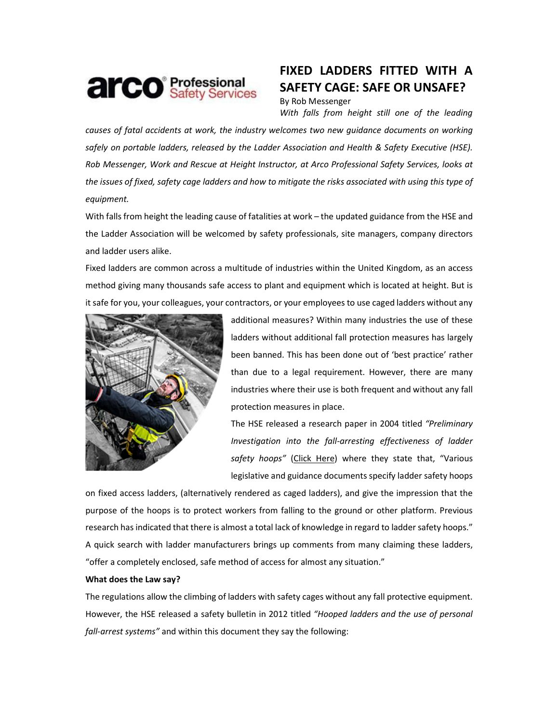

# FIXED LADDERS FITTED WITH A SAFETY CAGE: SAFE OR UNSAFE?

By Rob Messenger

With falls from height still one of the leading causes of fatal accidents at work, the industry welcomes two new guidance documents on working safely on portable ladders, released by the Ladder Association and Health & Safety Executive (HSE). Rob Messenger, Work and Rescue at Height Instructor, at Arco Professional Safety Services, looks at

equipment.

With falls from height the leading cause of fatalities at work – the updated guidance from the HSE and the Ladder Association will be welcomed by safety professionals, site managers, company directors and ladder users alike.

the issues of fixed, safety cage ladders and how to mitigate the risks associated with using this type of

Fixed ladders are common across a multitude of industries within the United Kingdom, as an access method giving many thousands safe access to plant and equipment which is located at height. But is it safe for you, your colleagues, your contractors, or your employees to use caged ladders without any



additional measures? Within many industries the use of these ladders without additional fall protection measures has largely been banned. This has been done out of 'best practice' rather than due to a legal requirement. However, there are many industries where their use is both frequent and without any fall protection measures in place.

The HSE released a research paper in 2004 titled "Preliminary Investigation into the fall-arresting effectiveness of ladder safety hoops" (Click Here) where they state that, "Various legislative and guidance documents specify ladder safety hoops

on fixed access ladders, (alternatively rendered as caged ladders), and give the impression that the purpose of the hoops is to protect workers from falling to the ground or other platform. Previous research has indicated that there is almost a total lack of knowledge in regard to ladder safety hoops." A quick search with ladder manufacturers brings up comments from many claiming these ladders, "offer a completely enclosed, safe method of access for almost any situation."

# What does the Law say?

The regulations allow the climbing of ladders with safety cages without any fall protective equipment. However, the HSE released a safety bulletin in 2012 titled "Hooped ladders and the use of personal fall-arrest systems" and within this document they say the following: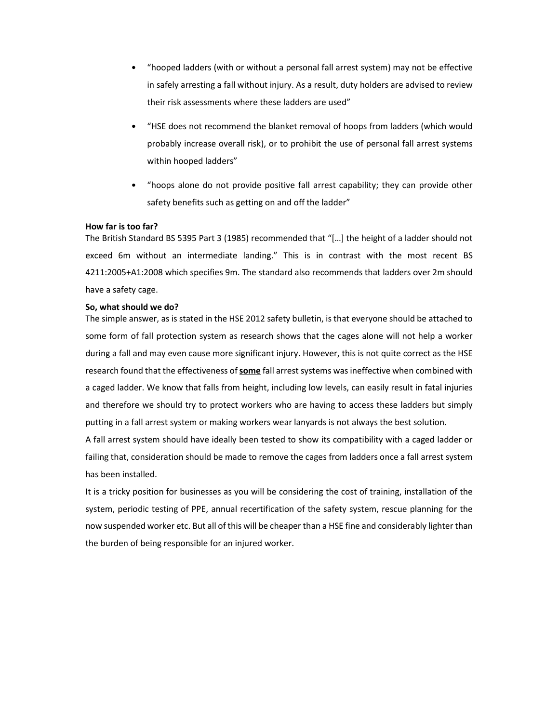- "hooped ladders (with or without a personal fall arrest system) may not be effective in safely arresting a fall without injury. As a result, duty holders are advised to review their risk assessments where these ladders are used"
- "HSE does not recommend the blanket removal of hoops from ladders (which would probably increase overall risk), or to prohibit the use of personal fall arrest systems within hooped ladders"
- "hoops alone do not provide positive fall arrest capability; they can provide other safety benefits such as getting on and off the ladder"

## How far is too far?

The British Standard BS 5395 Part 3 (1985) recommended that "[…] the height of a ladder should not exceed 6m without an intermediate landing." This is in contrast with the most recent BS 4211:2005+A1:2008 which specifies 9m. The standard also recommends that ladders over 2m should have a safety cage.

## So, what should we do?

The simple answer, as is stated in the HSE 2012 safety bulletin, is that everyone should be attached to some form of fall protection system as research shows that the cages alone will not help a worker during a fall and may even cause more significant injury. However, this is not quite correct as the HSE research found that the effectiveness of some fall arrest systems was ineffective when combined with a caged ladder. We know that falls from height, including low levels, can easily result in fatal injuries and therefore we should try to protect workers who are having to access these ladders but simply putting in a fall arrest system or making workers wear lanyards is not always the best solution.

A fall arrest system should have ideally been tested to show its compatibility with a caged ladder or failing that, consideration should be made to remove the cages from ladders once a fall arrest system has been installed.

It is a tricky position for businesses as you will be considering the cost of training, installation of the system, periodic testing of PPE, annual recertification of the safety system, rescue planning for the now suspended worker etc. But all of this will be cheaper than a HSE fine and considerably lighter than the burden of being responsible for an injured worker.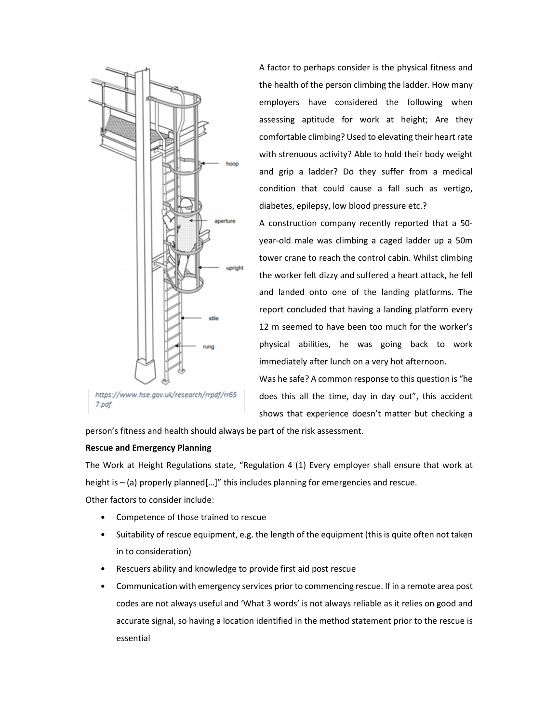

https://www.hse.gov.uk/research/rrpdf/rr65 7.pdf

A factor to perhaps consider is the physical fitness and the health of the person climbing the ladder. How many employers have considered the following when assessing aptitude for work at height; Are they comfortable climbing? Used to elevating their heart rate with strenuous activity? Able to hold their body weight and grip a ladder? Do they suffer from a medical condition that could cause a fall such as vertigo, diabetes, epilepsy, low blood pressure etc.?

A construction company recently reported that a 50 year-old male was climbing a caged ladder up a 50m tower crane to reach the control cabin. Whilst climbing the worker felt dizzy and suffered a heart attack, he fell and landed onto one of the landing platforms. The report concluded that having a landing platform every 12 m seemed to have been too much for the worker's physical abilities, he was going back to work immediately after lunch on a very hot afternoon.

Was he safe? A common response to this question is "he does this all the time, day in day out", this accident shows that experience doesn't matter but checking a

person's fitness and health should always be part of the risk assessment.

## Rescue and Emergency Planning

The Work at Height Regulations state, "Regulation 4 (1) Every employer shall ensure that work at height is – (a) properly planned[...]" this includes planning for emergencies and rescue.

Other factors to consider include:

- Competence of those trained to rescue
- Suitability of rescue equipment, e.g. the length of the equipment (this is quite often not taken in to consideration)
- Rescuers ability and knowledge to provide first aid post rescue
- Communication with emergency services prior to commencing rescue. If in a remote area post codes are not always useful and 'What 3 words' is not always reliable as it relies on good and accurate signal, so having a location identified in the method statement prior to the rescue is essential